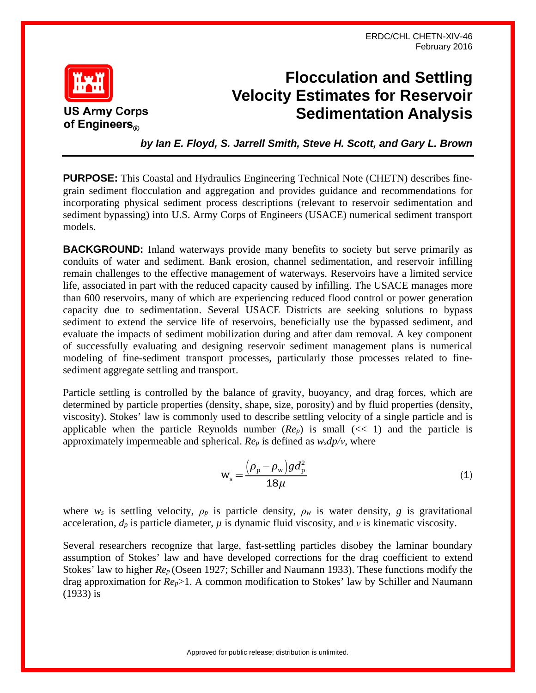ERDC/CHL CHETN-XIV-46 February 2016



## **Flocculation and Settling Velocity Estimates for Reservoir Sedimentation Analysis**

*by Ian E. Floyd, S. Jarrell Smith, Steve H. Scott, and Gary L. Brown*

**PURPOSE:** This Coastal and Hydraulics Engineering Technical Note (CHETN) describes finegrain sediment flocculation and aggregation and provides guidance and recommendations for incorporating physical sediment process descriptions (relevant to reservoir sedimentation and sediment bypassing) into U.S. Army Corps of Engineers (USACE) numerical sediment transport models.

**BACKGROUND:** Inland waterways provide many benefits to society but serve primarily as conduits of water and sediment. Bank erosion, channel sedimentation, and reservoir infilling remain challenges to the effective management of waterways. Reservoirs have a limited service life, associated in part with the reduced capacity caused by infilling. The USACE manages more than 600 reservoirs, many of which are experiencing reduced flood control or power generation capacity due to sedimentation. Several USACE Districts are seeking solutions to bypass sediment to extend the service life of reservoirs, beneficially use the bypassed sediment, and evaluate the impacts of sediment mobilization during and after dam removal. A key component of successfully evaluating and designing reservoir sediment management plans is numerical modeling of fine-sediment transport processes, particularly those processes related to finesediment aggregate settling and transport.

Particle settling is controlled by the balance of gravity, buoyancy, and drag forces, which are determined by particle properties (density, shape, size, porosity) and by fluid properties (density, viscosity). Stokes' law is commonly used to describe settling velocity of a single particle and is applicable when the particle Reynolds number  $(Re_p)$  is small  $(\langle\langle 1 \rangle)$  and the particle is approximately impermeable and spherical. *Rep* is defined as *wsdp/ν*, where

$$
w_s = \frac{\left(\rho_p - \rho_w\right)gd_p^2}{18\mu} \tag{1}
$$

where  $w_s$  is settling velocity,  $\rho_p$  is particle density,  $\rho_w$  is water density, *g* is gravitational acceleration,  $d_p$  is particle diameter,  $\mu$  is dynamic fluid viscosity, and  $\nu$  is kinematic viscosity.

Several researchers recognize that large, fast-settling particles disobey the laminar boundary assumption of Stokes' law and have developed corrections for the drag coefficient to extend Stokes' law to higher *Rep* (Oseen 1927; Schiller and Naumann 1933). These functions modify the drag approximation for *Rep*>1. A common modification to Stokes' law by Schiller and Naumann (1933) is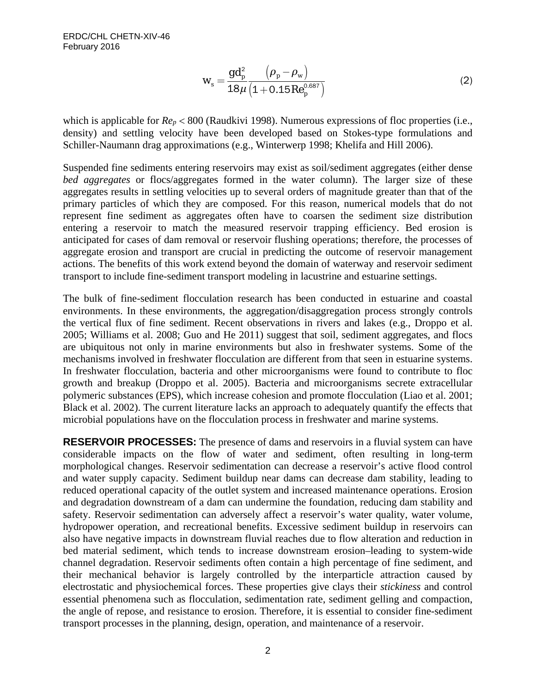$$
W_s = \frac{gd_p^2}{18\mu} \frac{\left(\rho_p - \rho_w\right)}{\left(1 + 0.15Re_p^{0.687}\right)}
$$
(2)

which is applicable for  $Re_p < 800$  (Raudkivi 1998). Numerous expressions of floc properties (i.e., density) and settling velocity have been developed based on Stokes-type formulations and Schiller-Naumann drag approximations (e.g., Winterwerp 1998; Khelifa and Hill 2006).

Suspended fine sediments entering reservoirs may exist as soil/sediment aggregates (either dense *bed aggregates* or flocs/aggregates formed in the water column). The larger size of these aggregates results in settling velocities up to several orders of magnitude greater than that of the primary particles of which they are composed. For this reason, numerical models that do not represent fine sediment as aggregates often have to coarsen the sediment size distribution entering a reservoir to match the measured reservoir trapping efficiency. Bed erosion is anticipated for cases of dam removal or reservoir flushing operations; therefore, the processes of aggregate erosion and transport are crucial in predicting the outcome of reservoir management actions. The benefits of this work extend beyond the domain of waterway and reservoir sediment transport to include fine-sediment transport modeling in lacustrine and estuarine settings.

The bulk of fine-sediment flocculation research has been conducted in estuarine and coastal environments. In these environments, the aggregation/disaggregation process strongly controls the vertical flux of fine sediment. Recent observations in rivers and lakes (e.g., Droppo et al. 2005; Williams et al. 2008; Guo and He 2011) suggest that soil, sediment aggregates, and flocs are ubiquitous not only in marine environments but also in freshwater systems. Some of the mechanisms involved in freshwater flocculation are different from that seen in estuarine systems. In freshwater flocculation, bacteria and other microorganisms were found to contribute to floc growth and breakup (Droppo et al. 2005). Bacteria and microorganisms secrete extracellular polymeric substances (EPS), which increase cohesion and promote flocculation (Liao et al. 2001; Black et al. 2002). The current literature lacks an approach to adequately quantify the effects that microbial populations have on the flocculation process in freshwater and marine systems.

**RESERVOIR PROCESSES:** The presence of dams and reservoirs in a fluvial system can have considerable impacts on the flow of water and sediment, often resulting in long-term morphological changes. Reservoir sedimentation can decrease a reservoir's active flood control and water supply capacity. Sediment buildup near dams can decrease dam stability, leading to reduced operational capacity of the outlet system and increased maintenance operations. Erosion and degradation downstream of a dam can undermine the foundation, reducing dam stability and safety. Reservoir sedimentation can adversely affect a reservoir's water quality, water volume, hydropower operation, and recreational benefits. Excessive sediment buildup in reservoirs can also have negative impacts in downstream fluvial reaches due to flow alteration and reduction in bed material sediment, which tends to increase downstream erosion–leading to system-wide channel degradation. Reservoir sediments often contain a high percentage of fine sediment, and their mechanical behavior is largely controlled by the interparticle attraction caused by electrostatic and physiochemical forces. These properties give clays their *stickiness* and control essential phenomena such as flocculation, sedimentation rate, sediment gelling and compaction, the angle of repose, and resistance to erosion. Therefore, it is essential to consider fine-sediment transport processes in the planning, design, operation, and maintenance of a reservoir.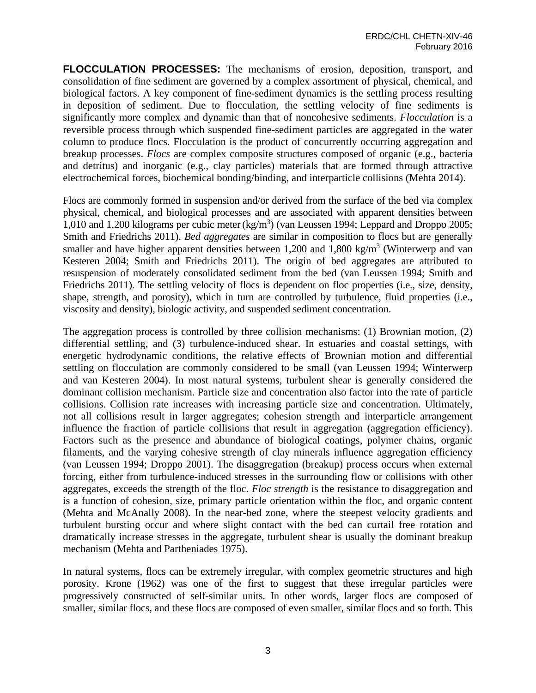**FLOCCULATION PROCESSES:** The mechanisms of erosion, deposition, transport, and consolidation of fine sediment are governed by a complex assortment of physical, chemical, and biological factors. A key component of fine-sediment dynamics is the settling process resulting in deposition of sediment. Due to flocculation, the settling velocity of fine sediments is significantly more complex and dynamic than that of noncohesive sediments. *Flocculation* is a reversible process through which suspended fine-sediment particles are aggregated in the water column to produce flocs. Flocculation is the product of concurrently occurring aggregation and breakup processes. *Flocs* are complex composite structures composed of organic (e.g., bacteria and detritus) and inorganic (e.g., clay particles) materials that are formed through attractive electrochemical forces, biochemical bonding/binding, and interparticle collisions (Mehta 2014).

Flocs are commonly formed in suspension and/or derived from the surface of the bed via complex physical, chemical, and biological processes and are associated with apparent densities between 1,010 and 1,200 kilograms per cubic meter (kg/m<sup>3</sup>) (van Leussen 1994; Leppard and Droppo 2005; Smith and Friedrichs 2011). *Bed aggregates* are similar in composition to flocs but are generally smaller and have higher apparent densities between 1,200 and 1,800 kg/m<sup>3</sup> (Winterwerp and van Kesteren 2004; Smith and Friedrichs 2011). The origin of bed aggregates are attributed to resuspension of moderately consolidated sediment from the bed (van Leussen 1994; Smith and Friedrichs 2011). The settling velocity of flocs is dependent on floc properties (i.e., size, density, shape, strength, and porosity), which in turn are controlled by turbulence, fluid properties (i.e., viscosity and density), biologic activity, and suspended sediment concentration.

The aggregation process is controlled by three collision mechanisms: (1) Brownian motion, (2) differential settling, and (3) turbulence-induced shear. In estuaries and coastal settings, with energetic hydrodynamic conditions, the relative effects of Brownian motion and differential settling on flocculation are commonly considered to be small (van Leussen 1994; Winterwerp and van Kesteren 2004). In most natural systems, turbulent shear is generally considered the dominant collision mechanism. Particle size and concentration also factor into the rate of particle collisions. Collision rate increases with increasing particle size and concentration. Ultimately, not all collisions result in larger aggregates; cohesion strength and interparticle arrangement influence the fraction of particle collisions that result in aggregation (aggregation efficiency). Factors such as the presence and abundance of biological coatings, polymer chains, organic filaments, and the varying cohesive strength of clay minerals influence aggregation efficiency (van Leussen 1994; Droppo 2001). The disaggregation (breakup) process occurs when external forcing, either from turbulence-induced stresses in the surrounding flow or collisions with other aggregates, exceeds the strength of the floc. *Floc strength* is the resistance to disaggregation and is a function of cohesion, size, primary particle orientation within the floc, and organic content (Mehta and McAnally 2008). In the near-bed zone, where the steepest velocity gradients and turbulent bursting occur and where slight contact with the bed can curtail free rotation and dramatically increase stresses in the aggregate, turbulent shear is usually the dominant breakup mechanism (Mehta and Partheniades 1975).

In natural systems, flocs can be extremely irregular, with complex geometric structures and high porosity. Krone (1962) was one of the first to suggest that these irregular particles were progressively constructed of self-similar units. In other words, larger flocs are composed of smaller, similar flocs, and these flocs are composed of even smaller, similar flocs and so forth. This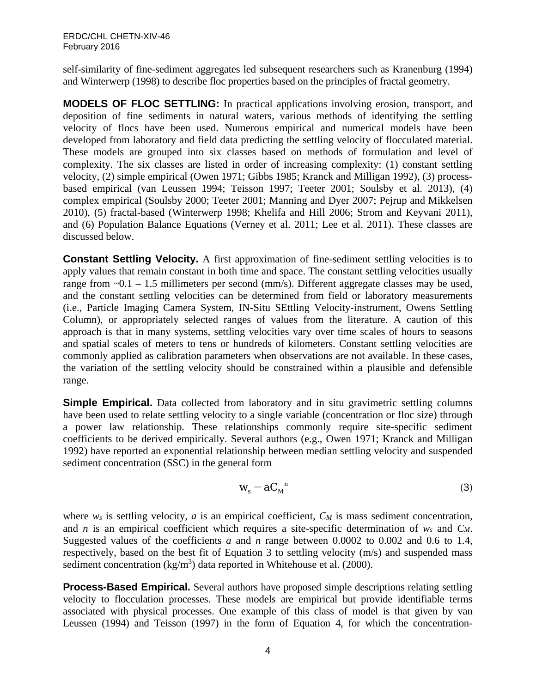self-similarity of fine-sediment aggregates led subsequent researchers such as Kranenburg (1994) and Winterwerp (1998) to describe floc properties based on the principles of fractal geometry.

**MODELS OF FLOC SETTLING:** In practical applications involving erosion, transport, and deposition of fine sediments in natural waters, various methods of identifying the settling velocity of flocs have been used. Numerous empirical and numerical models have been developed from laboratory and field data predicting the settling velocity of flocculated material. These models are grouped into six classes based on methods of formulation and level of complexity. The six classes are listed in order of increasing complexity: (1) constant settling velocity, (2) simple empirical (Owen 1971; Gibbs 1985; Kranck and Milligan 1992), (3) processbased empirical (van Leussen 1994; Teisson 1997; Teeter 2001; Soulsby et al. 2013), (4) complex empirical (Soulsby 2000; Teeter 2001; Manning and Dyer 2007; Pejrup and Mikkelsen 2010), (5) fractal-based (Winterwerp 1998; Khelifa and Hill 2006; Strom and Keyvani 2011), and (6) Population Balance Equations (Verney et al. 2011; Lee et al. 2011). These classes are discussed below.

**Constant Settling Velocity.** A first approximation of fine-sediment settling velocities is to apply values that remain constant in both time and space. The constant settling velocities usually range from  $\sim 0.1 - 1.5$  millimeters per second (mm/s). Different aggregate classes may be used, and the constant settling velocities can be determined from field or laboratory measurements (i.e., Particle Imaging Camera System, IN-Situ SEttling Velocity-instrument, Owens Settling Column), or appropriately selected ranges of values from the literature. A caution of this approach is that in many systems, settling velocities vary over time scales of hours to seasons and spatial scales of meters to tens or hundreds of kilometers. Constant settling velocities are commonly applied as calibration parameters when observations are not available. In these cases, the variation of the settling velocity should be constrained within a plausible and defensible range.

**Simple Empirical.** Data collected from laboratory and in situ gravimetric settling columns have been used to relate settling velocity to a single variable (concentration or floc size) through a power law relationship. These relationships commonly require site-specific sediment coefficients to be derived empirically. Several authors (e.g., Owen 1971; Kranck and Milligan 1992) have reported an exponential relationship between median settling velocity and suspended sediment concentration (SSC) in the general form

$$
W_s = a C_M^{\quad n} \tag{3}
$$

where  $w_s$  is settling velocity, *a* is an empirical coefficient, *C<sub>M</sub>* is mass sediment concentration, and *n* is an empirical coefficient which requires a site-specific determination of *ws* and *CM*. Suggested values of the coefficients *a* and *n* range between 0.0002 to 0.002 and 0.6 to 1.4, respectively, based on the best fit of Equation 3 to settling velocity (m/s) and suspended mass sediment concentration (kg/m<sup>3</sup>) data reported in Whitehouse et al. (2000).

**Process-Based Empirical.** Several authors have proposed simple descriptions relating settling velocity to flocculation processes. These models are empirical but provide identifiable terms associated with physical processes. One example of this class of model is that given by van Leussen (1994) and Teisson (1997) in the form of Equation 4, for which the concentration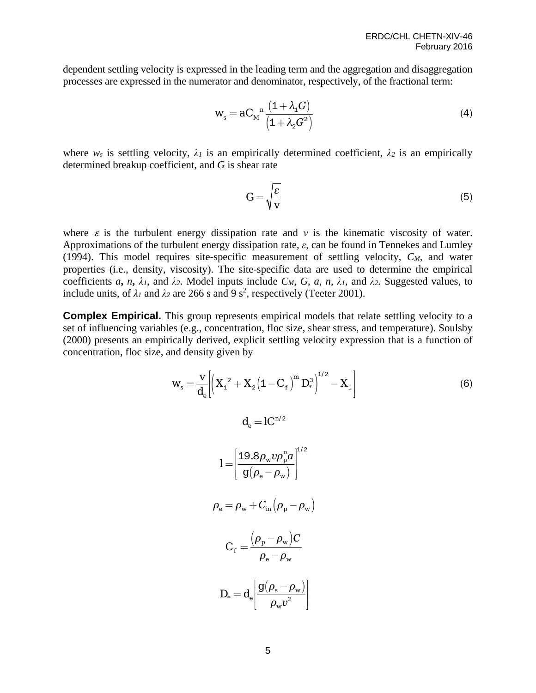dependent settling velocity is expressed in the leading term and the aggregation and disaggregation processes are expressed in the numerator and denominator, respectively, of the fractional term:

$$
W_s = aC_M^{\ \ n} \frac{(1+\lambda_1 G)}{(1+\lambda_2 G^2)}\tag{4}
$$

where  $w_s$  is settling velocity,  $\lambda_l$  is an empirically determined coefficient,  $\lambda_2$  is an empirically determined breakup coefficient, and *G* is shear rate

$$
G = \sqrt{\frac{\varepsilon}{v}}\tag{5}
$$

where  $\varepsilon$  is the turbulent energy dissipation rate and  $v$  is the kinematic viscosity of water. Approximations of the turbulent energy dissipation rate, *ε*, can be found in Tennekes and Lumley (1994). This model requires site-specific measurement of settling velocity, *CM*, and water properties (i.e., density, viscosity). The site-specific data are used to determine the empirical coefficients *a*, *n*,  $\lambda_1$ , and  $\lambda_2$ . Model inputs include *CM*, *G*, *a*, *n*,  $\lambda_1$ , and  $\lambda_2$ . Suggested values, to include units, of  $\lambda_1$  and  $\lambda_2$  are 266 s and 9 s<sup>2</sup>, respectively (Teeter 2001).

**Complex Empirical.** This group represents empirical models that relate settling velocity to a set of influencing variables (e.g., concentration, floc size, shear stress, and temperature). Soulsby (2000) presents an empirically derived, explicit settling velocity expression that is a function of concentration, floc size, and density given by

$$
w_{s} = \frac{v}{d_{e}} \left[ \left( X_{1}^{2} + X_{2} (1 - C_{f})^{m} D_{*}^{3} \right)^{1/2} - X_{1} \right]
$$
\n
$$
d_{e} = IC^{n/2}
$$
\n
$$
I = \left[ \frac{19.8 \rho_{w} v \rho_{p}^{n} a}{g(\rho_{e} - \rho_{w})} \right]^{1/2}
$$
\n
$$
\rho_{e} = \rho_{w} + C_{in} (\rho_{p} - \rho_{w})
$$
\n
$$
C_{f} = \frac{(\rho_{p} - \rho_{w}) C}{\rho_{e} - \rho_{w}}
$$
\n
$$
D_{*} = d_{e} \left[ \frac{g(\rho_{s} - \rho_{w})}{\rho_{w} v^{2}} \right]
$$
\n(6)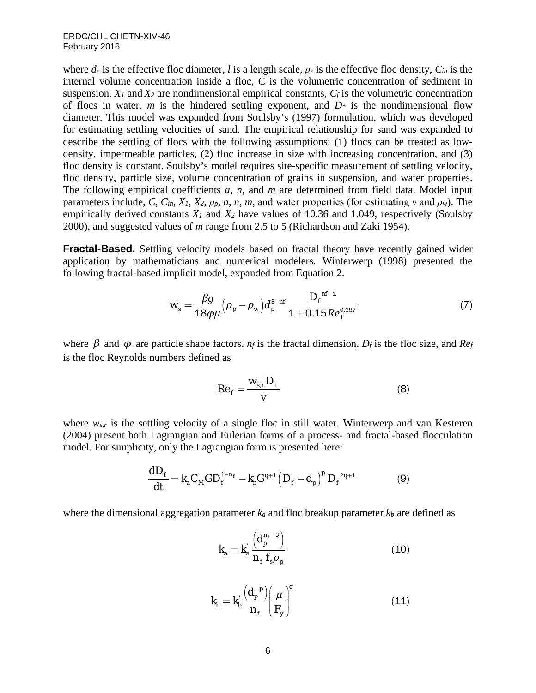where  $d_e$  is the effective floc diameter, *l* is a length scale,  $\rho_e$  is the effective floc density,  $C_{in}$  is the internal volume concentration inside a floc, C is the volumetric concentration of sediment in suspension,  $X_1$  and  $X_2$  are nondimensional empirical constants,  $C_f$  is the volumetric concentration of flocs in water, *m* is the hindered settling exponent, and  $D^*$  is the nondimensional flow diameter. This model was expanded from Soulsby's (1997) formulation, which was developed for estimating settling velocities of sand. The empirical relationship for sand was expanded to describe the settling of flocs with the following assumptions: (1) flocs can be treated as lowdensity, impermeable particles, (2) floc increase in size with increasing concentration, and (3) floc density is constant. Soulsby's model requires site-specific measurement of settling velocity, floc density, particle size, volume concentration of grains in suspension, and water properties. The following empirical coefficients *a*, *n*, and *m* are determined from field data. Model input parameters include, *C*,  $C_{in}$ ,  $X_1$ ,  $X_2$ ,  $\rho_p$ , *a*, *n*, *m*, and water properties (for estimating v and  $\rho_w$ ). The empirically derived constants *X1* and *X2* have values of 10.36 and 1.049, respectively (Soulsby 2000), and suggested values of *m* range from 2.5 to 5 (Richardson and Zaki 1954).

**Fractal-Based.** Settling velocity models based on fractal theory have recently gained wider application by mathematicians and numerical modelers. Winterwerp (1998) presented the following fractal-based implicit model, expanded from Equation 2.

$$
W_s = \frac{\beta g}{18\rho\mu} \left(\rho_p - \rho_w\right) d_p^{3-nf} \frac{D_f^{n_f-1}}{1+0.15Re_f^{0.687}}\tag{7}
$$

where  $\beta$  and  $\varphi$  are particle shape factors,  $n_f$  is the fractal dimension,  $D_f$  is the floc size, and  $Re_f$ is the floc Reynolds numbers defined as

$$
Re_f = \frac{W_{s,r}D_f}{V}
$$
 (8)

where  $w_{s,r}$  is the settling velocity of a single floc in still water. Winterwerp and van Kesteren (2004) present both Lagrangian and Eulerian forms of a process- and fractal-based flocculation model. For simplicity, only the Lagrangian form is presented here:

$$
\frac{dD_f}{dt} = k_a C_M G D_f^{4-n_f} - k_b G^{q+1} \left( D_f - d_p \right)^p D_f^{2q+1}
$$
 (9)

where the dimensional aggregation parameter *ka* and floc breakup parameter *kb* are defined as

$$
k_a = k_a' \frac{\left(d_p^{n_f - 3}\right)}{n_f f_s \rho_p} \tag{10}
$$

$$
k_b = k_b' \frac{\left(d_p^{-p}\right)}{n_f} \left(\frac{\mu}{F_y}\right)^q \tag{11}
$$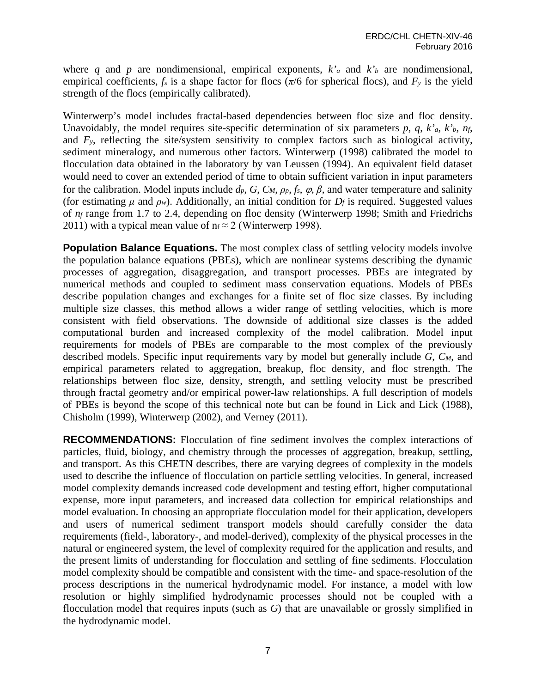where *q* and *p* are nondimensional, empirical exponents,  $k_a$  and  $k_b$  are nondimensional, empirical coefficients,  $f_s$  is a shape factor for flocs ( $\pi/6$  for spherical flocs), and  $F_y$  is the yield strength of the flocs (empirically calibrated).

Winterwerp's model includes fractal-based dependencies between floc size and floc density. Unavoidably, the model requires site-specific determination of six parameters  $p$ ,  $q$ ,  $k^{\prime}$ <sub>a</sub>,  $k^{\prime}$ <sub>b</sub>,  $n_f$ , and *Fy*, reflecting the site/system sensitivity to complex factors such as biological activity, sediment mineralogy, and numerous other factors. Winterwerp (1998) calibrated the model to flocculation data obtained in the laboratory by van Leussen (1994). An equivalent field dataset would need to cover an extended period of time to obtain sufficient variation in input parameters for the calibration. Model inputs include  $d_p$ ,  $G$ ,  $C_M$ ,  $\rho_p$ ,  $f_s$ ,  $\varphi$ ,  $\beta$ , and water temperature and salinity (for estimating  $\mu$  and  $\rho_w$ ). Additionally, an initial condition for  $D_f$  is required. Suggested values of *nf* range from 1.7 to 2.4, depending on floc density (Winterwerp 1998; Smith and Friedrichs 2011) with a typical mean value of  $n_f \approx 2$  (Winterwerp 1998).

**Population Balance Equations.** The most complex class of settling velocity models involve the population balance equations (PBEs), which are nonlinear systems describing the dynamic processes of aggregation, disaggregation, and transport processes. PBEs are integrated by numerical methods and coupled to sediment mass conservation equations. Models of PBEs describe population changes and exchanges for a finite set of floc size classes. By including multiple size classes, this method allows a wider range of settling velocities, which is more consistent with field observations. The downside of additional size classes is the added computational burden and increased complexity of the model calibration. Model input requirements for models of PBEs are comparable to the most complex of the previously described models. Specific input requirements vary by model but generally include *G*, *CM*, and empirical parameters related to aggregation, breakup, floc density, and floc strength. The relationships between floc size, density, strength, and settling velocity must be prescribed through fractal geometry and/or empirical power-law relationships. A full description of models of PBEs is beyond the scope of this technical note but can be found in Lick and Lick (1988), Chisholm (1999), Winterwerp (2002), and Verney (2011).

**RECOMMENDATIONS:** Flocculation of fine sediment involves the complex interactions of particles, fluid, biology, and chemistry through the processes of aggregation, breakup, settling, and transport. As this CHETN describes, there are varying degrees of complexity in the models used to describe the influence of flocculation on particle settling velocities. In general, increased model complexity demands increased code development and testing effort, higher computational expense, more input parameters, and increased data collection for empirical relationships and model evaluation. In choosing an appropriate flocculation model for their application, developers and users of numerical sediment transport models should carefully consider the data requirements (field-, laboratory-, and model-derived), complexity of the physical processes in the natural or engineered system, the level of complexity required for the application and results, and the present limits of understanding for flocculation and settling of fine sediments. Flocculation model complexity should be compatible and consistent with the time- and space-resolution of the process descriptions in the numerical hydrodynamic model. For instance, a model with low resolution or highly simplified hydrodynamic processes should not be coupled with a flocculation model that requires inputs (such as *G*) that are unavailable or grossly simplified in the hydrodynamic model.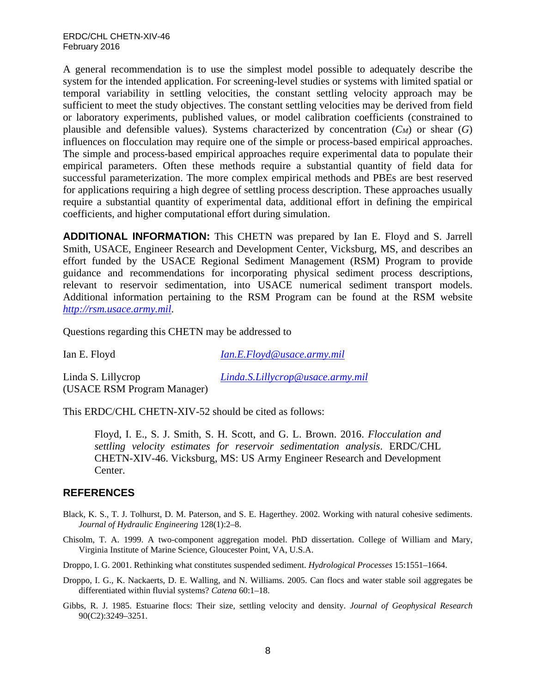A general recommendation is to use the simplest model possible to adequately describe the system for the intended application. For screening-level studies or systems with limited spatial or temporal variability in settling velocities, the constant settling velocity approach may be sufficient to meet the study objectives. The constant settling velocities may be derived from field or laboratory experiments, published values, or model calibration coefficients (constrained to plausible and defensible values). Systems characterized by concentration  $(C_M)$  or shear  $(G)$ influences on flocculation may require one of the simple or process-based empirical approaches. The simple and process-based empirical approaches require experimental data to populate their empirical parameters. Often these methods require a substantial quantity of field data for successful parameterization. The more complex empirical methods and PBEs are best reserved for applications requiring a high degree of settling process description. These approaches usually require a substantial quantity of experimental data, additional effort in defining the empirical coefficients, and higher computational effort during simulation.

**ADDITIONAL INFORMATION:** This CHETN was prepared by Ian E. Floyd and S. Jarrell Smith, USACE, Engineer Research and Development Center, Vicksburg, MS, and describes an effort funded by the USACE Regional Sediment Management (RSM) Program to provide guidance and recommendations for incorporating physical sediment process descriptions, relevant to reservoir sedimentation, into USACE numerical sediment transport models. Additional information pertaining to the RSM Program can be found at the RSM website *[http://rsm.usace.army.mil](http://rsm.usace.army.mil/)*.

Questions regarding this CHETN may be addressed to

Ian E. Floyd *[Ian.E.Floyd@usace.army.mil](mailto:Ian.E.Floyd@usace.army.mil)*

Linda S. Lillycrop *[Linda.S.Lillycrop@usace.army.mil](mailto:Linda.S.Lillycrop@usace.army.mil)* (USACE RSM Program Manager)

This ERDC/CHL CHETN-XIV-52 should be cited as follows:

Floyd, I. E., S. J. Smith, S. H. Scott, and G. L. Brown. 2016. *Flocculation and settling velocity estimates for reservoir sedimentation analysis*. ERDC/CHL CHETN-XIV-46. Vicksburg, MS: US Army Engineer Research and Development Center.

## **REFERENCES**

- Black, K. S., T. J. Tolhurst, D. M. Paterson, and S. E. Hagerthey. 2002. Working with natural cohesive sediments. *Journal of Hydraulic Engineering* 128(1):2–8.
- Chisolm, T. A. 1999. A two-component aggregation model. PhD dissertation. College of William and Mary, Virginia Institute of Marine Science, Gloucester Point, VA, U.S.A.

Droppo, I. G. 2001. Rethinking what constitutes suspended sediment. *Hydrological Processes* 15:1551–1664.

- Droppo, I. G., K. Nackaerts, D. E. Walling, and N. Williams. 2005. Can flocs and water stable soil aggregates be differentiated within fluvial systems? *Catena* 60:1–18.
- Gibbs, R. J. 1985. Estuarine flocs: Their size, settling velocity and density. *Journal of Geophysical Research* 90(C2):3249–3251.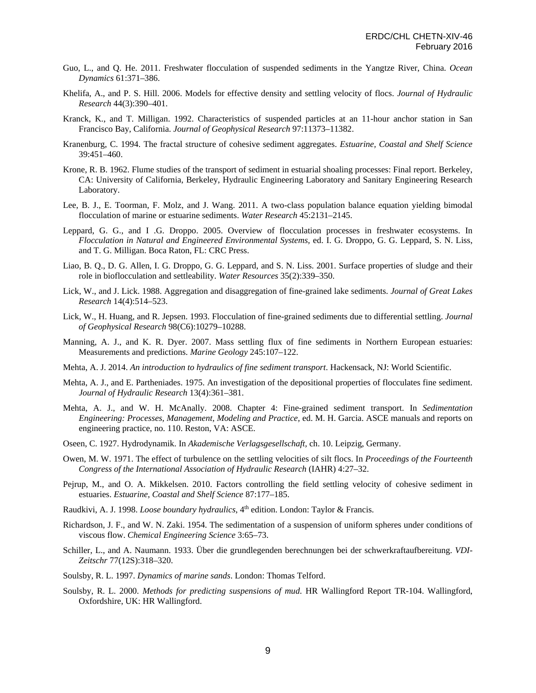- Guo, L., and Q. He. 2011. Freshwater flocculation of suspended sediments in the Yangtze River, China. *Ocean Dynamics* 61:371–386.
- Khelifa, A., and P. S. Hill. 2006. Models for effective density and settling velocity of flocs. *Journal of Hydraulic Research* 44(3):390–401.
- Kranck, K., and T. Milligan. 1992. Characteristics of suspended particles at an 11-hour anchor station in San Francisco Bay, California. *Journal of Geophysical Research* 97:11373–11382.
- Kranenburg, C. 1994. The fractal structure of cohesive sediment aggregates. *Estuarine, Coastal and Shelf Science* 39:451–460.
- Krone, R. B. 1962. Flume studies of the transport of sediment in estuarial shoaling processes: Final report. Berkeley, CA: University of California, Berkeley, Hydraulic Engineering Laboratory and Sanitary Engineering Research Laboratory.
- Lee, B. J., E. Toorman, F. Molz, and J. Wang. 2011. A two-class population balance equation yielding bimodal flocculation of marine or estuarine sediments. *Water Research* 45:2131–2145.
- Leppard, G. G., and I .G. Droppo. 2005. Overview of flocculation processes in freshwater ecosystems. In *Flocculation in Natural and Engineered Environmental Systems,* ed. I. G. Droppo, G. G. Leppard, S. N. Liss, and T. G. Milligan. Boca Raton, FL: CRC Press.
- Liao, B. Q., D. G. Allen, I. G. Droppo, G. G. Leppard, and S. N. Liss. 2001. Surface properties of sludge and their role in bioflocculation and settleability. *Water Resources* 35(2):339–350.
- Lick, W., and J. Lick. 1988. Aggregation and disaggregation of fine-grained lake sediments. *Journal of Great Lakes Research* 14(4):514–523.
- Lick, W., H. Huang, and R. Jepsen. 1993. Flocculation of fine-grained sediments due to differential settling. *Journal of Geophysical Research* 98(C6):10279–10288.
- Manning, A. J., and K. R. Dyer. 2007. Mass settling flux of fine sediments in Northern European estuaries: Measurements and predictions. *Marine Geology* 245:107–122.
- Mehta, A. J. 2014. *An introduction to hydraulics of fine sediment transport*. Hackensack, NJ: World Scientific.
- Mehta, A. J., and E. Partheniades. 1975. An investigation of the depositional properties of flocculates fine sediment. *Journal of Hydraulic Research* 13(4):361–381.
- Mehta, A. J., and W. H. McAnally. 2008. Chapter 4: Fine-grained sediment transport. In *Sedimentation Engineering: Processes, Management, Modeling and Practice,* ed. M. H. Garcia. ASCE manuals and reports on engineering practice, no. 110. Reston, VA: ASCE.
- Oseen, C. 1927. Hydrodynamik. In *Akademische Verlagsgesellschaft,* ch. 10. Leipzig, Germany.
- Owen, M. W. 1971. The effect of turbulence on the settling velocities of silt flocs. In *Proceedings of the Fourteenth Congress of the International Association of Hydraulic Research* (IAHR) 4:27–32.
- Pejrup, M., and O. A. Mikkelsen. 2010. Factors controlling the field settling velocity of cohesive sediment in estuaries. *Estuarine, Coastal and Shelf Science* 87:177–185.
- Raudkivi, A. J. 1998. *Loose boundary hydraulics*, 4<sup>th</sup> edition. London: Taylor & Francis.
- Richardson, J. F., and W. N. Zaki. 1954. The sedimentation of a suspension of uniform spheres under conditions of viscous flow. *Chemical Engineering Science* 3:65–73.
- Schiller, L., and A. Naumann. 1933. Über die grundlegenden berechnungen bei der schwerkraftaufbereitung. *VDI-Zeitschr* 77(12S):318–320.
- Soulsby, R. L. 1997. *Dynamics of marine sands*. London: Thomas Telford.
- Soulsby, R. L. 2000. *Methods for predicting suspensions of mud*. HR Wallingford Report TR-104. Wallingford, Oxfordshire, UK: HR Wallingford.